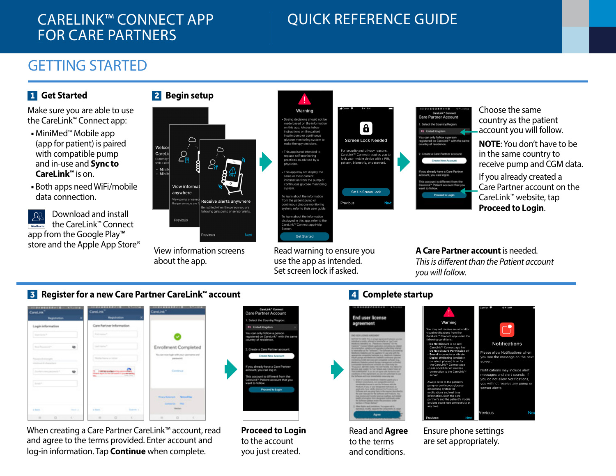## CARELINK™ CONNECT APP FOR CARE PARTNERS

# QUICK REFERENCE GUIDE

## GETTING STARTED

## **1 Get Started**

Make sure you are able to use the CareLink™ Connect app:

- MiniMed™ Mobile app (app for patient) is paired with compatible pump and in-use and **Sync to CareLink™** is on.
- Both apps need WiFi/mobile data connection.





View information screens about the app.



Read warning to ensure you use the app as intended. Set screen lock if asked.

**Get Started** 



Choose the same country as the patient account you will follow. **NOTE**: You don't have to be

in the same country to receive pump and CGM data.

If you already created a Care Partner account on the CareLink™ website, tap **Proceed to Login**.

**A Care Partner account** is needed. *This is different than the Patient account you will follow.* 

Notifications

ase allow Notifications whe

tifications may include alert

essages and alert sounds. If u do not allow Notifications u will not receive any pump sor alerts

vious

## **3 Register for a new Care Partner CareLink™ account 4 Complete startup**



When creating a Care Partner CareLink™ account, read and agree to the terms provided. Enter account and log-in information. Tap **Continue** when complete.



**Proceed to Login** to the account you just created.



Read and **Agree** to the terms and conditions.

Ensure phone settings are set appropriately.